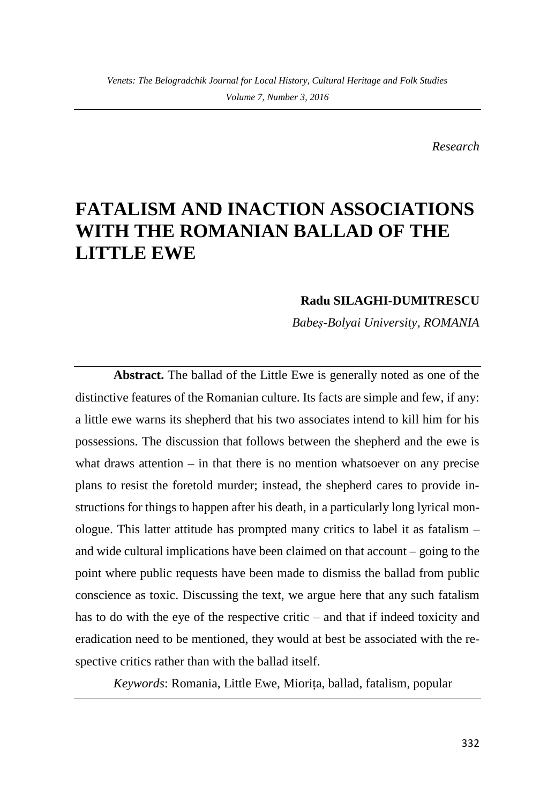*Research*

## **FATALISM AND INACTION ASSOCIATIONS WITH THE ROMANIAN BALLAD OF THE LITTLE EWE**

## **Radu SILAGHI-DUMITRESCU**

*Babeș-Bolyai University, ROMANIA*

**Abstract.** The ballad of the Little Ewe is generally noted as one of the distinctive features of the Romanian culture. Its facts are simple and few, if any: a little ewe warns its shepherd that his two associates intend to kill him for his possessions. The discussion that follows between the shepherd and the ewe is what draws attention  $-$  in that there is no mention whatsoever on any precise plans to resist the foretold murder; instead, the shepherd cares to provide instructions for things to happen after his death, in a particularly long lyrical monologue. This latter attitude has prompted many critics to label it as fatalism – and wide cultural implications have been claimed on that account – going to the point where public requests have been made to dismiss the ballad from public conscience as toxic. Discussing the text, we argue here that any such fatalism has to do with the eye of the respective critic – and that if indeed toxicity and eradication need to be mentioned, they would at best be associated with the respective critics rather than with the ballad itself.

*Keywords*: Romania, Little Ewe, Miorița, ballad, fatalism, popular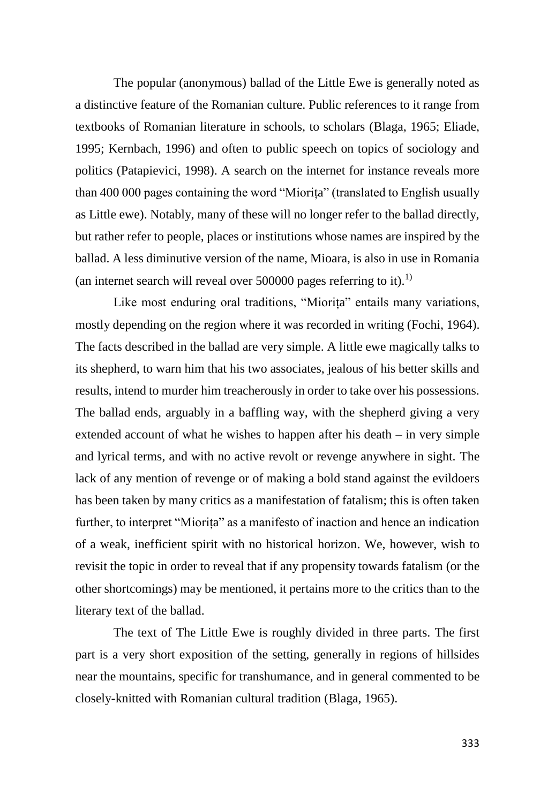The popular (anonymous) ballad of the Little Ewe is generally noted as a distinctive feature of the Romanian culture. Public references to it range from textbooks of Romanian literature in schools, to scholars (Blaga, 1965; Eliade, 1995; Kernbach, 1996) and often to public speech on topics of sociology and politics (Patapievici, 1998). A search on the internet for instance reveals more than 400 000 pages containing the word "Miorița" (translated to English usually as Little ewe). Notably, many of these will no longer refer to the ballad directly, but rather refer to people, places or institutions whose names are inspired by the ballad. A less diminutive version of the name, Mioara, is also in use in Romania (an internet search will reveal over  $500000$  pages referring to it).<sup>1)</sup>

Like most enduring oral traditions, "Miorița" entails many variations, mostly depending on the region where it was recorded in writing (Fochi, 1964). The facts described in the ballad are very simple. A little ewe magically talks to its shepherd, to warn him that his two associates, jealous of his better skills and results, intend to murder him treacherously in order to take over his possessions. The ballad ends, arguably in a baffling way, with the shepherd giving a very extended account of what he wishes to happen after his death – in very simple and lyrical terms, and with no active revolt or revenge anywhere in sight. The lack of any mention of revenge or of making a bold stand against the evildoers has been taken by many critics as a manifestation of fatalism; this is often taken further, to interpret "Miorița" as a manifesto of inaction and hence an indication of a weak, inefficient spirit with no historical horizon. We, however, wish to revisit the topic in order to reveal that if any propensity towards fatalism (or the other shortcomings) may be mentioned, it pertains more to the critics than to the literary text of the ballad.

The text of The Little Ewe is roughly divided in three parts. The first part is a very short exposition of the setting, generally in regions of hillsides near the mountains, specific for transhumance, and in general commented to be closely-knitted with Romanian cultural tradition (Blaga, 1965).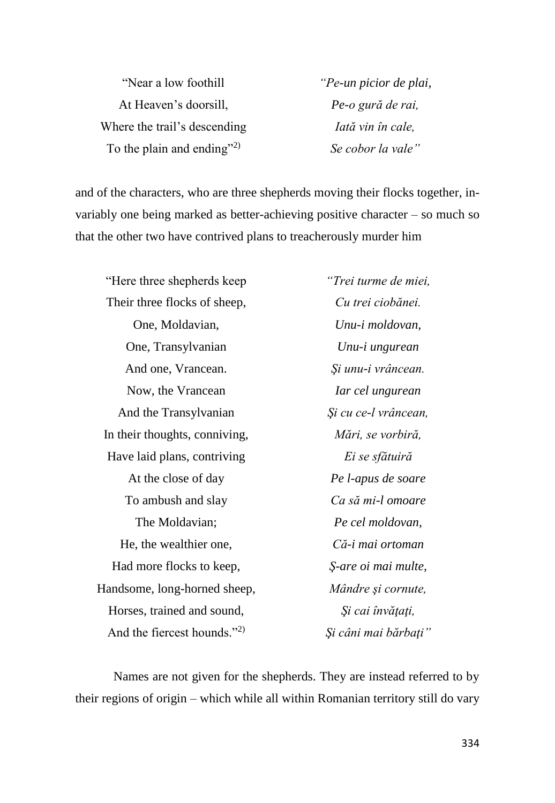| "Near a low foothill         |
|------------------------------|
| At Heaven's doorsill,        |
| Where the trail's descending |
| To the plain and ending"2)   |

*"Pe-un picior de plai, Pe-o gură de rai, Iată vin în cale, Se cobor la vale"*

and of the characters, who are three shepherds moving their flocks together, invariably one being marked as better-achieving positive character – so much so that the other two have contrived plans to treacherously murder him

"Here three shepherds keep Their three flocks of sheep, One, Moldavian, One, Transylvanian And one, Vrancean. Now, the Vrancean And the Transylvanian In their thoughts, conniving, Have laid plans, contriving At the close of day To ambush and slay The Moldavian; He, the wealthier one, Had more flocks to keep, Handsome, long-horned sheep, Horses, trained and sound, And the fiercest hounds."<sup>2)</sup>

*"Trei turme de miei, Cu trei ciobănei. Unu-i moldovan, Unu-i ungurean Şi unu-i vrâncean. Iar cel ungurean Şi cu ce-l vrâncean, Mări, se vorbiră, Ei se sfătuiră Pe l-apus de soare Ca să mi-l omoare Pe cel moldovan, Că-i mai ortoman Ş-are oi mai multe, Mândre şi cornute, Şi cai învăţaţi, Şi câni mai bărbaţi"*

Names are not given for the shepherds. They are instead referred to by their regions of origin – which while all within Romanian territory still do vary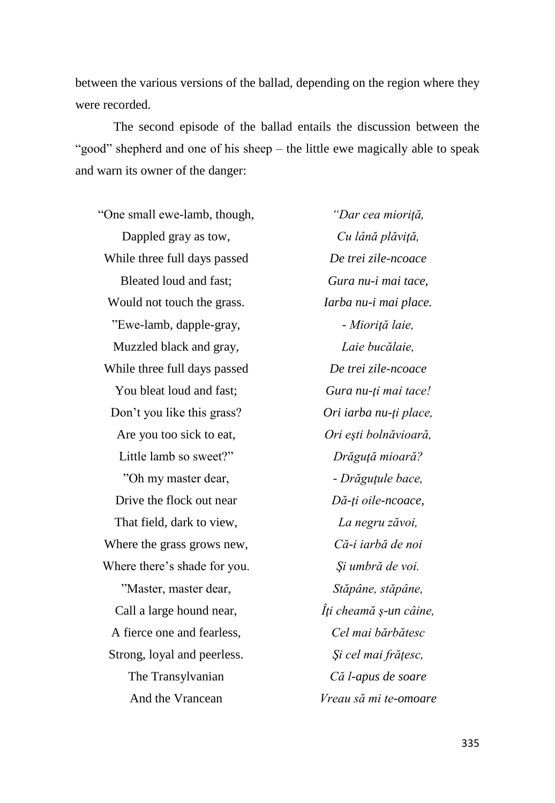between the various versions of the ballad, depending on the region where they were recorded.

The second episode of the ballad entails the discussion between the "good" shepherd and one of his sheep – the little ewe magically able to speak and warn its owner of the danger:

"One small ewe-lamb, though, Dappled gray as tow, While three full days passed Bleated loud and fast; Would not touch the grass. "Ewe-lamb, dapple-gray, Muzzled black and gray, While three full days passed You bleat loud and fast; Don't you like this grass? Are you too sick to eat, Little lamb so sweet?" "Oh my master dear, Drive the flock out near That field, dark to view, Where the grass grows new, Where there's shade for you. "Master, master dear, Call a large hound near, A fierce one and fearless, Strong, loyal and peerless. The Transylvanian And the Vrancean

*"Dar cea mioriţă, Cu lână plăviţă, De trei zile-ncoace Gura nu-i mai tace, Iarba nu-i mai place. - Mioriţă laie, Laie bucălaie, De trei zile-ncoace Gura nu-ţi mai tace! Ori iarba nu-ţi place, Ori eşti bolnăvioară, Drăguţă mioară? - Drăguţule bace, Dă-ţi oile-ncoace, La negru zăvoi, Că-i iarbă de noi Şi umbră de voi. Stăpâne, stăpâne, Îţi cheamă ş-un câine, Cel mai bărbătesc Şi cel mai frăţesc, Că l-apus de soare Vreau să mi te-omoare*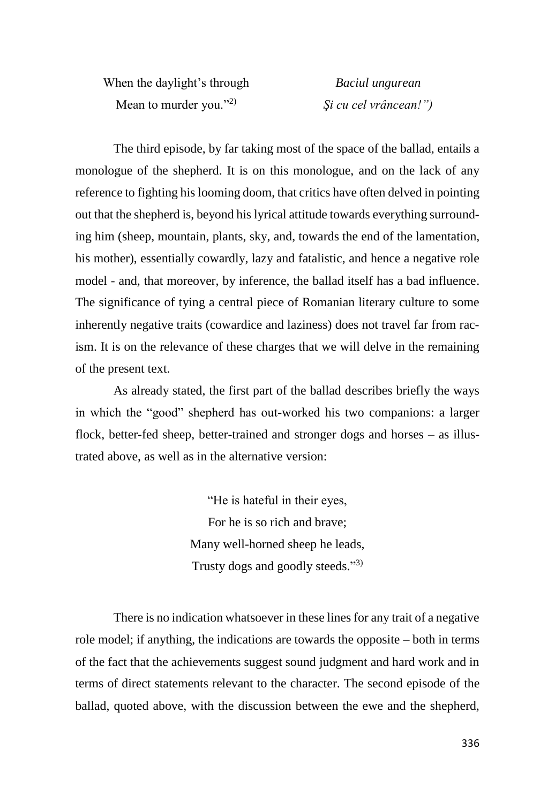When the daylight's through Mean to murder you." $^{2}$ )

*Baciul ungurean Şi cu cel vrâncean!")*

The third episode, by far taking most of the space of the ballad, entails a monologue of the shepherd. It is on this monologue, and on the lack of any reference to fighting his looming doom, that critics have often delved in pointing out that the shepherd is, beyond his lyrical attitude towards everything surrounding him (sheep, mountain, plants, sky, and, towards the end of the lamentation, his mother), essentially cowardly, lazy and fatalistic, and hence a negative role model - and, that moreover, by inference, the ballad itself has a bad influence. The significance of tying a central piece of Romanian literary culture to some inherently negative traits (cowardice and laziness) does not travel far from racism. It is on the relevance of these charges that we will delve in the remaining of the present text.

As already stated, the first part of the ballad describes briefly the ways in which the "good" shepherd has out-worked his two companions: a larger flock, better-fed sheep, better-trained and stronger dogs and horses – as illustrated above, as well as in the alternative version:

> "He is hateful in their eyes, For he is so rich and brave; Many well-horned sheep he leads, Trusty dogs and goodly steeds."3)

There is no indication whatsoever in these lines for any trait of a negative role model; if anything, the indications are towards the opposite – both in terms of the fact that the achievements suggest sound judgment and hard work and in terms of direct statements relevant to the character. The second episode of the ballad, quoted above, with the discussion between the ewe and the shepherd,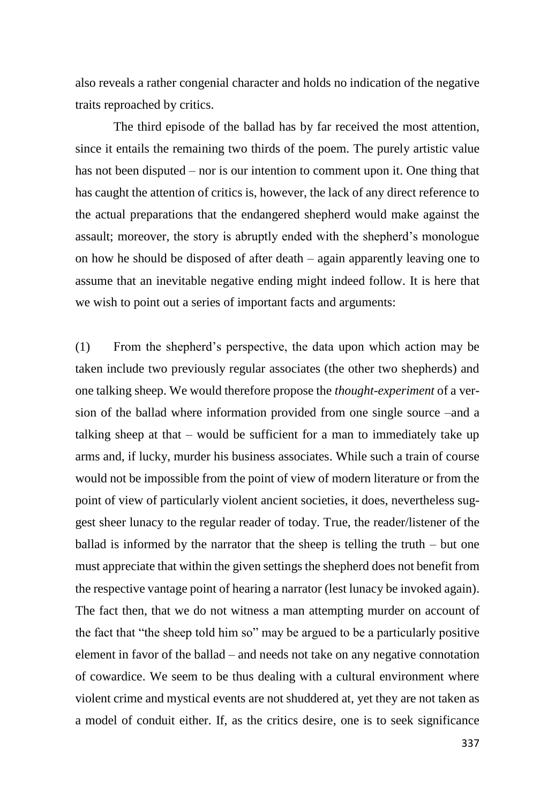also reveals a rather congenial character and holds no indication of the negative traits reproached by critics.

The third episode of the ballad has by far received the most attention, since it entails the remaining two thirds of the poem. The purely artistic value has not been disputed – nor is our intention to comment upon it. One thing that has caught the attention of critics is, however, the lack of any direct reference to the actual preparations that the endangered shepherd would make against the assault; moreover, the story is abruptly ended with the shepherd's monologue on how he should be disposed of after death – again apparently leaving one to assume that an inevitable negative ending might indeed follow. It is here that we wish to point out a series of important facts and arguments:

(1) From the shepherd's perspective, the data upon which action may be taken include two previously regular associates (the other two shepherds) and one talking sheep. We would therefore propose the *thought-experiment* of a version of the ballad where information provided from one single source –and a talking sheep at that – would be sufficient for a man to immediately take up arms and, if lucky, murder his business associates. While such a train of course would not be impossible from the point of view of modern literature or from the point of view of particularly violent ancient societies, it does, nevertheless suggest sheer lunacy to the regular reader of today. True, the reader/listener of the ballad is informed by the narrator that the sheep is telling the truth – but one must appreciate that within the given settings the shepherd does not benefit from the respective vantage point of hearing a narrator (lest lunacy be invoked again). The fact then, that we do not witness a man attempting murder on account of the fact that "the sheep told him so" may be argued to be a particularly positive element in favor of the ballad – and needs not take on any negative connotation of cowardice. We seem to be thus dealing with a cultural environment where violent crime and mystical events are not shuddered at, yet they are not taken as a model of conduit either. If, as the critics desire, one is to seek significance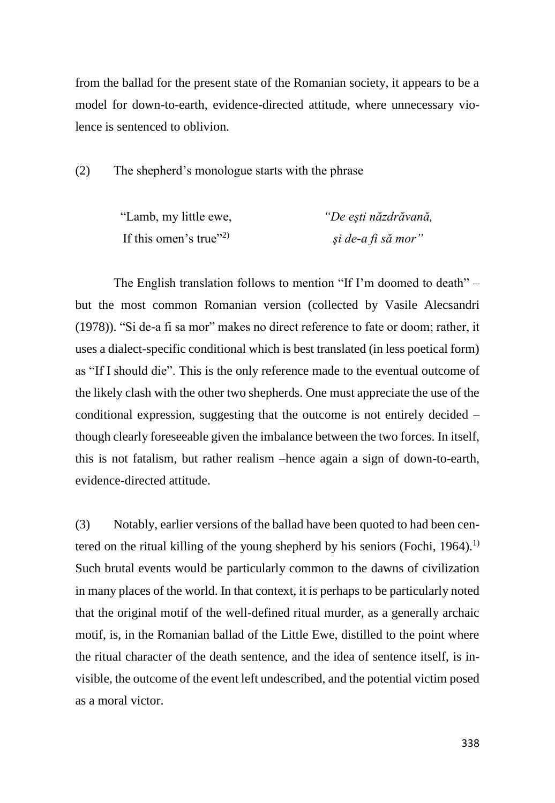from the ballad for the present state of the Romanian society, it appears to be a model for down-to-earth, evidence-directed attitude, where unnecessary violence is sentenced to oblivion.

(2) The shepherd's monologue starts with the phrase

| "Lamb, my little ewe,              | "De eşti năzdrăvană, |
|------------------------------------|----------------------|
| If this omen's true" <sup>2)</sup> | și de-a fi să mor"   |

The English translation follows to mention "If I'm doomed to death" – but the most common Romanian version (collected by Vasile Alecsandri (1978)). "Si de-a fi sa mor" makes no direct reference to fate or doom; rather, it uses a dialect-specific conditional which is best translated (in less poetical form) as "If I should die". This is the only reference made to the eventual outcome of the likely clash with the other two shepherds. One must appreciate the use of the conditional expression, suggesting that the outcome is not entirely decided – though clearly foreseeable given the imbalance between the two forces. In itself, this is not fatalism, but rather realism –hence again a sign of down-to-earth, evidence-directed attitude.

(3) Notably, earlier versions of the ballad have been quoted to had been centered on the ritual killing of the young shepherd by his seniors (Fochi, 1964).<sup>1)</sup> Such brutal events would be particularly common to the dawns of civilization in many places of the world. In that context, it is perhaps to be particularly noted that the original motif of the well-defined ritual murder, as a generally archaic motif, is, in the Romanian ballad of the Little Ewe, distilled to the point where the ritual character of the death sentence, and the idea of sentence itself, is invisible, the outcome of the event left undescribed, and the potential victim posed as a moral victor.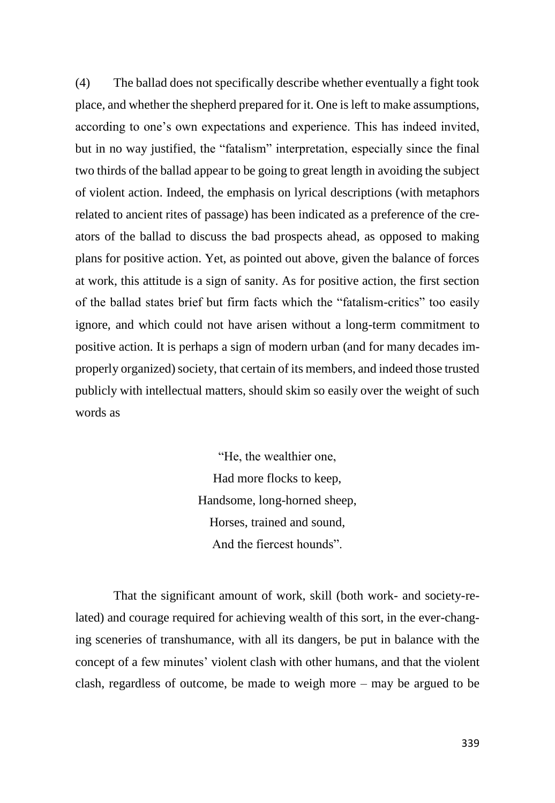(4) The ballad does not specifically describe whether eventually a fight took place, and whether the shepherd prepared for it. One is left to make assumptions, according to one's own expectations and experience. This has indeed invited, but in no way justified, the "fatalism" interpretation, especially since the final two thirds of the ballad appear to be going to great length in avoiding the subject of violent action. Indeed, the emphasis on lyrical descriptions (with metaphors related to ancient rites of passage) has been indicated as a preference of the creators of the ballad to discuss the bad prospects ahead, as opposed to making plans for positive action. Yet, as pointed out above, given the balance of forces at work, this attitude is a sign of sanity. As for positive action, the first section of the ballad states brief but firm facts which the "fatalism-critics" too easily ignore, and which could not have arisen without a long-term commitment to positive action. It is perhaps a sign of modern urban (and for many decades improperly organized) society, that certain of its members, and indeed those trusted publicly with intellectual matters, should skim so easily over the weight of such words as

> "He, the wealthier one, Had more flocks to keep, Handsome, long-horned sheep, Horses, trained and sound, And the fiercest hounds".

That the significant amount of work, skill (both work- and society-related) and courage required for achieving wealth of this sort, in the ever-changing sceneries of transhumance, with all its dangers, be put in balance with the concept of a few minutes' violent clash with other humans, and that the violent clash, regardless of outcome, be made to weigh more – may be argued to be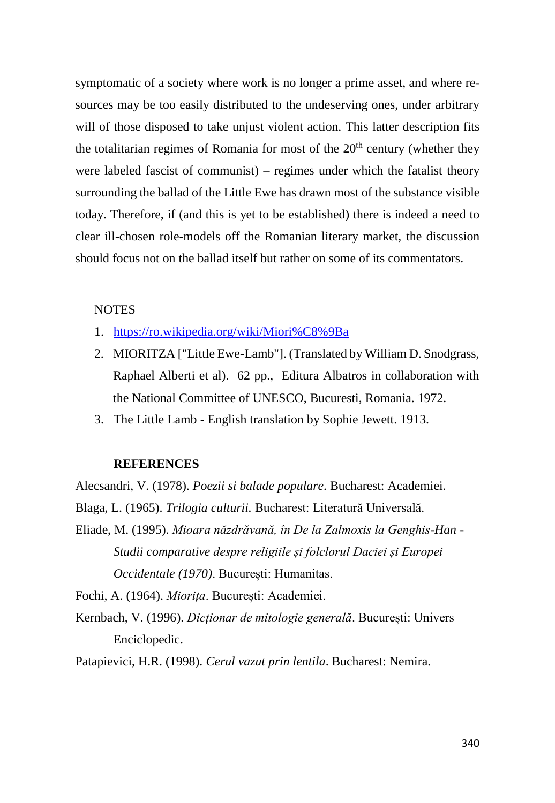symptomatic of a society where work is no longer a prime asset, and where resources may be too easily distributed to the undeserving ones, under arbitrary will of those disposed to take unjust violent action. This latter description fits the totalitarian regimes of Romania for most of the  $20<sup>th</sup>$  century (whether they were labeled fascist of communist) – regimes under which the fatalist theory surrounding the ballad of the Little Ewe has drawn most of the substance visible today. Therefore, if (and this is yet to be established) there is indeed a need to clear ill-chosen role-models off the Romanian literary market, the discussion should focus not on the ballad itself but rather on some of its commentators.

## NOTES

- 1. <https://ro.wikipedia.org/wiki/Miori%C8%9Ba>
- 2. MIORITZA ["Little Ewe-Lamb"]. (Translated by William D. Snodgrass, Raphael Alberti et al). 62 pp., Editura Albatros in collaboration with the National Committee of UNESCO, Bucuresti, Romania. 1972.
- 3. The Little Lamb English translation by Sophie Jewett. 1913.

## **REFERENCES**

Alecsandri, V. (1978). *Poezii si balade populare*. Bucharest: Academiei.

- Blaga, L. (1965). *Trilogia culturii.* Bucharest: Literatură Universală.
- Eliade, M. (1995). *Mioara năzdrăvană, în De la Zalmoxis la Genghis-Han - Studii comparative despre religiile și folclorul Daciei și Europei Occidentale (1970)*. București: Humanitas.

Fochi, A. (1964). *Miorița*. București: Academiei.

Kernbach, V. (1996). *Dicționar de mitologie generală*. București: Univers Enciclopedic.

Patapievici, H.R. (1998). *Cerul vazut prin lentila*. Bucharest: Nemira.